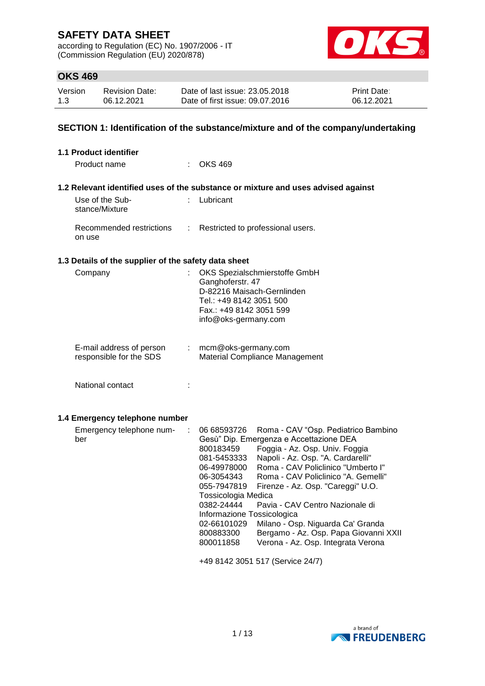according to Regulation (EC) No. 1907/2006 - IT (Commission Regulation (EU) 2020/878)



## **OKS 469**

| Version | <b>Revision Date:</b> | Date of last issue: 23.05.2018  | Print Date: |
|---------|-----------------------|---------------------------------|-------------|
| 1.3     | 06.12.2021            | Date of first issue: 09.07.2016 | 06.12.2021  |

## **SECTION 1: Identification of the substance/mixture and of the company/undertaking**

| 1.1 Product identifier                               |                                                                                                                                                                                                                                                                                                                                                                                                                                                                                                                                                                                                                                                                       |
|------------------------------------------------------|-----------------------------------------------------------------------------------------------------------------------------------------------------------------------------------------------------------------------------------------------------------------------------------------------------------------------------------------------------------------------------------------------------------------------------------------------------------------------------------------------------------------------------------------------------------------------------------------------------------------------------------------------------------------------|
| Product name                                         | <b>OKS 469</b>                                                                                                                                                                                                                                                                                                                                                                                                                                                                                                                                                                                                                                                        |
|                                                      | 1.2 Relevant identified uses of the substance or mixture and uses advised against                                                                                                                                                                                                                                                                                                                                                                                                                                                                                                                                                                                     |
| Use of the Sub-<br>stance/Mixture                    | : Lubricant                                                                                                                                                                                                                                                                                                                                                                                                                                                                                                                                                                                                                                                           |
| Recommended restrictions<br>on use                   | Restricted to professional users.                                                                                                                                                                                                                                                                                                                                                                                                                                                                                                                                                                                                                                     |
| 1.3 Details of the supplier of the safety data sheet |                                                                                                                                                                                                                                                                                                                                                                                                                                                                                                                                                                                                                                                                       |
| Company<br>÷                                         | OKS Spezialschmierstoffe GmbH<br>Ganghoferstr. 47<br>D-82216 Maisach-Gernlinden<br>Tel.: +49 8142 3051 500<br>Fax.: +49 8142 3051 599<br>info@oks-germany.com                                                                                                                                                                                                                                                                                                                                                                                                                                                                                                         |
| E-mail address of person<br>responsible for the SDS  | mcm@oks-germany.com<br>Material Compliance Management                                                                                                                                                                                                                                                                                                                                                                                                                                                                                                                                                                                                                 |
| National contact<br>t                                |                                                                                                                                                                                                                                                                                                                                                                                                                                                                                                                                                                                                                                                                       |
| 1.4 Emergency telephone number                       |                                                                                                                                                                                                                                                                                                                                                                                                                                                                                                                                                                                                                                                                       |
| Emergency telephone num-<br>ber                      | 06 68593726<br>Roma - CAV "Osp. Pediatrico Bambino<br>Gesù" Dip. Emergenza e Accettazione DEA<br>Foggia - Az. Osp. Univ. Foggia<br>800183459<br>Napoli - Az. Osp. "A. Cardarelli"<br>081-5453333<br>Roma - CAV Policlinico "Umberto I"<br>06-49978000<br>Roma - CAV Policlinico "A. Gemelli"<br>06-3054343<br>Firenze - Az. Osp. "Careggi" U.O.<br>055-7947819<br>Tossicologia Medica<br>0382-24444<br>Pavia - CAV Centro Nazionale di<br>Informazione Tossicologica<br>Milano - Osp. Niguarda Ca' Granda<br>02-66101029<br>800883300<br>Bergamo - Az. Osp. Papa Giovanni XXII<br>Verona - Az. Osp. Integrata Verona<br>800011858<br>+49 8142 3051 517 (Service 24/7) |

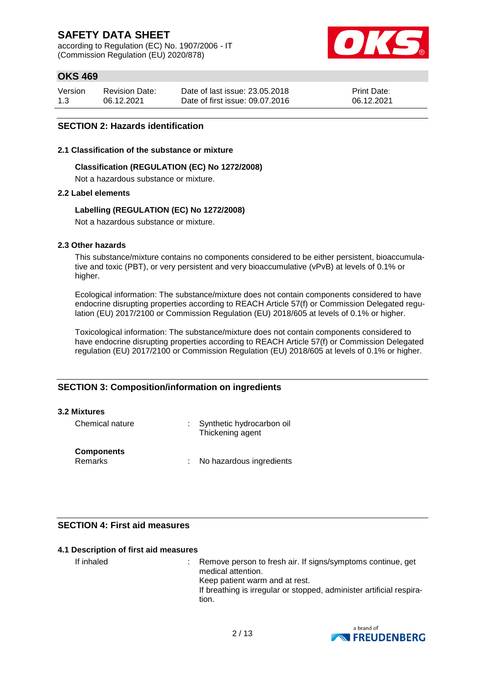according to Regulation (EC) No. 1907/2006 - IT (Commission Regulation (EU) 2020/878)



## **OKS 469**

| Version | <b>Revision Date:</b> | Date of last issue: 23.05.2018  | <b>Print Date:</b> |
|---------|-----------------------|---------------------------------|--------------------|
| 1.3     | 06.12.2021            | Date of first issue: 09.07.2016 | 06.12.2021         |

## **SECTION 2: Hazards identification**

#### **2.1 Classification of the substance or mixture**

#### **Classification (REGULATION (EC) No 1272/2008)**

Not a hazardous substance or mixture.

#### **2.2 Label elements**

#### **Labelling (REGULATION (EC) No 1272/2008)**

Not a hazardous substance or mixture.

#### **2.3 Other hazards**

This substance/mixture contains no components considered to be either persistent, bioaccumulative and toxic (PBT), or very persistent and very bioaccumulative (vPvB) at levels of 0.1% or higher.

Ecological information: The substance/mixture does not contain components considered to have endocrine disrupting properties according to REACH Article 57(f) or Commission Delegated regulation (EU) 2017/2100 or Commission Regulation (EU) 2018/605 at levels of 0.1% or higher.

Toxicological information: The substance/mixture does not contain components considered to have endocrine disrupting properties according to REACH Article 57(f) or Commission Delegated regulation (EU) 2017/2100 or Commission Regulation (EU) 2018/605 at levels of 0.1% or higher.

## **SECTION 3: Composition/information on ingredients**

#### **3.2 Mixtures**

| Chemical nature                     | Synthetic hydrocarbon oil<br>Thickening agent |
|-------------------------------------|-----------------------------------------------|
| <b>Components</b><br><b>Remarks</b> | No hazardous ingredients                      |

## **SECTION 4: First aid measures**

#### **4.1 Description of first aid measures**

If inhaled : Remove person to fresh air. If signs/symptoms continue, get medical attention. Keep patient warm and at rest. If breathing is irregular or stopped, administer artificial respiration.

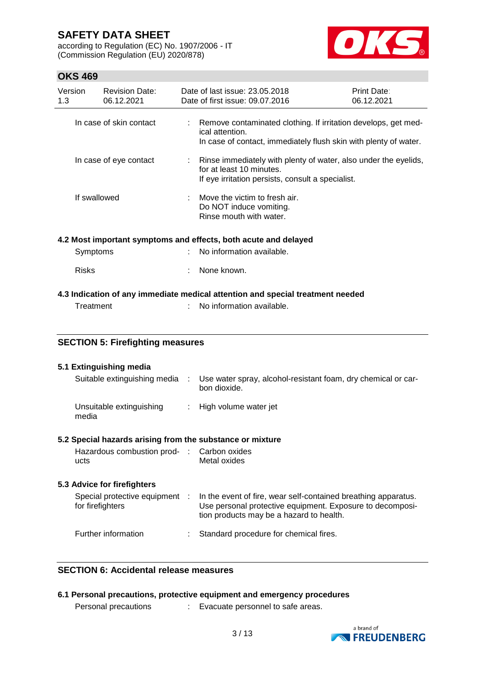according to Regulation (EC) No. 1907/2006 - IT (Commission Regulation (EU) 2020/878)



## **OKS 469**

| Version<br>1.3                                                                              | <b>Revision Date:</b><br>06.12.2021 |  | Date of last issue: 23.05.2018<br>Date of first issue: 09.07.2016                                                                                     | Print Date:<br>06.12.2021 |
|---------------------------------------------------------------------------------------------|-------------------------------------|--|-------------------------------------------------------------------------------------------------------------------------------------------------------|---------------------------|
|                                                                                             | In case of skin contact             |  | Remove contaminated clothing. If irritation develops, get med-<br>ical attention.<br>In case of contact, immediately flush skin with plenty of water. |                           |
|                                                                                             | In case of eye contact              |  | Rinse immediately with plenty of water, also under the eyelids,<br>for at least 10 minutes.<br>If eye irritation persists, consult a specialist.      |                           |
|                                                                                             | If swallowed                        |  | Move the victim to fresh air.<br>Do NOT induce vomiting.<br>Rinse mouth with water.                                                                   |                           |
|                                                                                             |                                     |  | 4.2 Most important symptoms and effects, both acute and delayed                                                                                       |                           |
|                                                                                             | Symptoms                            |  | No information available.                                                                                                                             |                           |
| <b>Risks</b>                                                                                |                                     |  | None known.                                                                                                                                           |                           |
| 4.3 Indication of any immediate medical attention and special treatment needed<br>Treatment |                                     |  | No information available.                                                                                                                             |                           |

## **SECTION 5: Firefighting measures**

| 5.1 Extinguishing media                                   |                                                                                 |
|-----------------------------------------------------------|---------------------------------------------------------------------------------|
| Suitable extinguishing media                              | : Use water spray, alcohol-resistant foam, dry chemical or car-<br>bon dioxide. |
| Unsuitable extinguishing<br>media                         | : High volume water jet                                                         |
| 5.2 Special hazards arising from the substance or mixture |                                                                                 |
| Hazardous combustion prod- : Carbon oxides                |                                                                                 |

Metal oxides

ucts

| 5.3 Advice for firefighters                      |   |                                                                                                                                                                         |  |  |  |
|--------------------------------------------------|---|-------------------------------------------------------------------------------------------------------------------------------------------------------------------------|--|--|--|
| Special protective equipment<br>for firefighters | ÷ | In the event of fire, wear self-contained breathing apparatus.<br>Use personal protective equipment. Exposure to decomposi-<br>tion products may be a hazard to health. |  |  |  |
| Further information                              |   | : Standard procedure for chemical fires.                                                                                                                                |  |  |  |

## **SECTION 6: Accidental release measures**

|                      | 6.1 Personal precautions, protective equipment and emergency procedures |
|----------------------|-------------------------------------------------------------------------|
| Personal precautions | Evacuate personnel to safe areas.                                       |

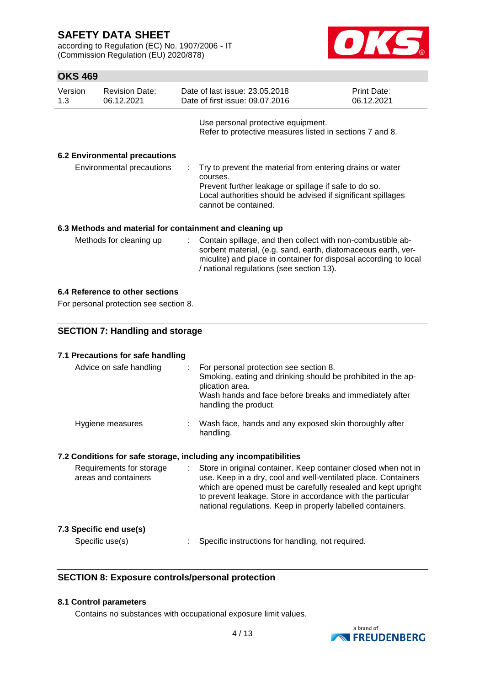according to Regulation (EC) No. 1907/2006 - IT (Commission Regulation (EU) 2020/878)



## **OKS 469**

| Version<br>1.3 | <b>Revision Date:</b><br>06.12.2021  |    | Date of last issue: 23.05.2018<br>Date of first issue: 09.07.2016                                                                                                                                                                            | <b>Print Date:</b><br>06.12.2021 |
|----------------|--------------------------------------|----|----------------------------------------------------------------------------------------------------------------------------------------------------------------------------------------------------------------------------------------------|----------------------------------|
|                |                                      |    | Use personal protective equipment.<br>Refer to protective measures listed in sections 7 and 8.                                                                                                                                               |                                  |
|                | <b>6.2 Environmental precautions</b> |    |                                                                                                                                                                                                                                              |                                  |
|                | Environmental precautions            |    | Try to prevent the material from entering drains or water<br>courses.<br>Prevent further leakage or spillage if safe to do so.<br>Local authorities should be advised if significant spillages<br>cannot be contained.                       |                                  |
|                |                                      |    | 6.3 Methods and material for containment and cleaning up                                                                                                                                                                                     |                                  |
|                | Methods for cleaning up              | ÷. | Contain spillage, and then collect with non-combustible ab-<br>sorbent material, (e.g. sand, earth, diatomaceous earth, ver-<br>miculite) and place in container for disposal according to local<br>/ national regulations (see section 13). |                                  |

## **6.4 Reference to other sections**

For personal protection see section 8.

## **SECTION 7: Handling and storage**

## **7.1 Precautions for safe handling**

| Advice on safe handling                                          |    | For personal protection see section 8.<br>Smoking, eating and drinking should be prohibited in the ap-<br>plication area.<br>Wash hands and face before breaks and immediately after<br>handling the product.                                                                                                                  |
|------------------------------------------------------------------|----|--------------------------------------------------------------------------------------------------------------------------------------------------------------------------------------------------------------------------------------------------------------------------------------------------------------------------------|
| Hygiene measures                                                 |    | Wash face, hands and any exposed skin thoroughly after<br>handling.                                                                                                                                                                                                                                                            |
| 7.2 Conditions for safe storage, including any incompatibilities |    |                                                                                                                                                                                                                                                                                                                                |
| Requirements for storage<br>areas and containers                 | ÷. | Store in original container. Keep container closed when not in<br>use. Keep in a dry, cool and well-ventilated place. Containers<br>which are opened must be carefully resealed and kept upright<br>to prevent leakage. Store in accordance with the particular<br>national regulations. Keep in properly labelled containers. |

## **7.3 Specific end use(s)**

Specific use(s) : Specific instructions for handling, not required.

## **SECTION 8: Exposure controls/personal protection**

## **8.1 Control parameters**

Contains no substances with occupational exposure limit values.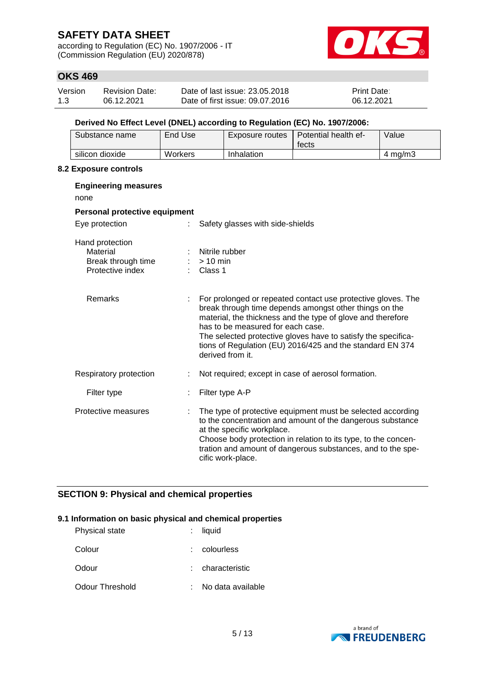according to Regulation (EC) No. 1907/2006 - IT (Commission Regulation (EU) 2020/878)



## **OKS 469**

| Version | <b>Revision Date:</b> | Date of last issue: 23.05.2018  | <b>Print Date:</b> |
|---------|-----------------------|---------------------------------|--------------------|
| 1.3     | 06.12.2021            | Date of first issue: 09.07.2016 | 06.12.2021         |

## **Derived No Effect Level (DNEL) according to Regulation (EC) No. 1907/2006:**

| Substance name  | End Use | Exposure routes | Potential health ef-<br>fects | Value            |
|-----------------|---------|-----------------|-------------------------------|------------------|
| silicon dioxide | Workers | Inhalation      |                               | $4 \text{ mg/m}$ |

#### **8.2 Exposure controls**

| <b>Engineering measures</b><br>none                                   |                                                                                                                                                                                                                                                                                                                                                                              |
|-----------------------------------------------------------------------|------------------------------------------------------------------------------------------------------------------------------------------------------------------------------------------------------------------------------------------------------------------------------------------------------------------------------------------------------------------------------|
| Personal protective equipment                                         |                                                                                                                                                                                                                                                                                                                                                                              |
| Eye protection                                                        | Safety glasses with side-shields                                                                                                                                                                                                                                                                                                                                             |
| Hand protection<br>Material<br>Break through time<br>Protective index | Nitrile rubber<br>$:$ > 10 min<br>Class 1                                                                                                                                                                                                                                                                                                                                    |
| Remarks                                                               | For prolonged or repeated contact use protective gloves. The<br>break through time depends amongst other things on the<br>material, the thickness and the type of glove and therefore<br>has to be measured for each case.<br>The selected protective gloves have to satisfy the specifica-<br>tions of Regulation (EU) 2016/425 and the standard EN 374<br>derived from it. |
| Respiratory protection                                                | Not required; except in case of aerosol formation.                                                                                                                                                                                                                                                                                                                           |
| Filter type                                                           | Filter type A-P                                                                                                                                                                                                                                                                                                                                                              |
| Protective measures                                                   | The type of protective equipment must be selected according<br>to the concentration and amount of the dangerous substance<br>at the specific workplace.<br>Choose body protection in relation to its type, to the concen-<br>tration and amount of dangerous substances, and to the spe-<br>cific work-place.                                                                |

## **SECTION 9: Physical and chemical properties**

#### **9.1 Information on basic physical and chemical properties**

| <b>Physical state</b> | liquid            |
|-----------------------|-------------------|
| Colour                | colourless        |
| Odour                 | : characteristic  |
| Odour Threshold       | No data available |

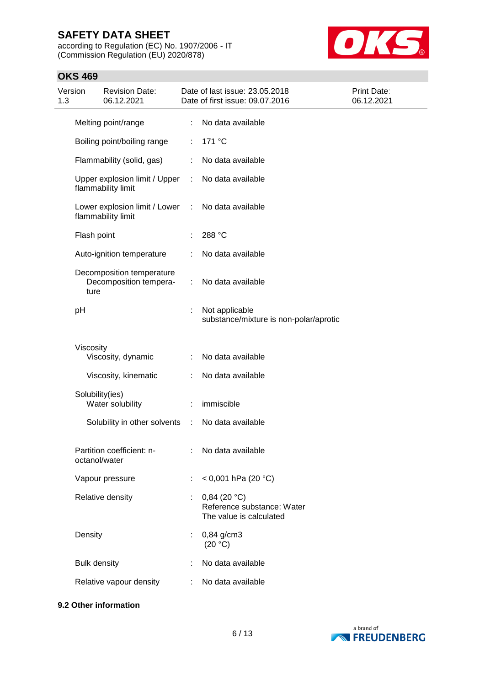according to Regulation (EC) No. 1907/2006 - IT (Commission Regulation (EU) 2020/878)



## **OKS 469**

| 1.3 | Version             | <b>Revision Date:</b><br>06.12.2021                   |   | Date of last issue: 23.05.2018<br>Date of first issue: 09.07.2016       | Print Date:<br>06.12.2021 |
|-----|---------------------|-------------------------------------------------------|---|-------------------------------------------------------------------------|---------------------------|
|     |                     | Melting point/range                                   |   | : No data available                                                     |                           |
|     |                     | Boiling point/boiling range                           | ÷ | 171 °C                                                                  |                           |
|     |                     | Flammability (solid, gas)                             |   | No data available                                                       |                           |
|     |                     | Upper explosion limit / Upper<br>flammability limit   |   | : No data available                                                     |                           |
|     |                     | Lower explosion limit / Lower :<br>flammability limit |   | No data available                                                       |                           |
|     | Flash point         |                                                       |   | 288 °C                                                                  |                           |
|     |                     | Auto-ignition temperature                             | ÷ | No data available                                                       |                           |
|     | ture                | Decomposition temperature<br>Decomposition tempera-   | ÷ | No data available                                                       |                           |
|     | pH                  |                                                       |   | Not applicable<br>substance/mixture is non-polar/aprotic                |                           |
|     | Viscosity           |                                                       |   |                                                                         |                           |
|     |                     | Viscosity, dynamic                                    |   | : No data available                                                     |                           |
|     |                     | Viscosity, kinematic                                  |   | No data available                                                       |                           |
|     |                     | Solubility(ies)<br>Water solubility                   |   | immiscible                                                              |                           |
|     |                     | Solubility in other solvents :                        |   | No data available                                                       |                           |
|     |                     | Partition coefficient: n-<br>octanol/water            |   | : No data available                                                     |                           |
|     |                     | Vapour pressure                                       | ÷ | < 0,001 hPa (20 °C)                                                     |                           |
|     |                     | Relative density                                      |   | $0,84$ (20 °C)<br>Reference substance: Water<br>The value is calculated |                           |
|     | Density             |                                                       |   | 0,84 g/cm3<br>(20 °C)                                                   |                           |
|     | <b>Bulk density</b> |                                                       |   | No data available                                                       |                           |
|     |                     | Relative vapour density                               | ÷ | No data available                                                       |                           |

## **9.2 Other information**

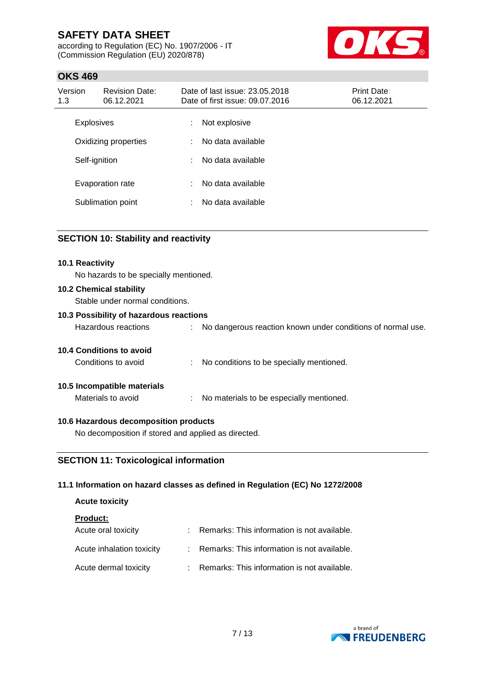according to Regulation (EC) No. 1907/2006 - IT (Commission Regulation (EU) 2020/878)



## **OKS 469**

| Version<br>1.3 | <b>Revision Date:</b><br>06.12.2021 | Date of last issue: 23.05.2018<br>Date of first issue: 09.07.2016 |                   | Print Date:<br>06.12.2021 |
|----------------|-------------------------------------|-------------------------------------------------------------------|-------------------|---------------------------|
|                | <b>Explosives</b>                   | ÷                                                                 | Not explosive     |                           |
|                | Oxidizing properties                | ÷.                                                                | No data available |                           |
|                | Self-ignition                       | ÷                                                                 | No data available |                           |
|                | Evaporation rate                    | ÷                                                                 | No data available |                           |
|                | Sublimation point                   | ÷                                                                 | No data available |                           |

## **SECTION 10: Stability and reactivity**

| <b>10.1 Reactivity</b><br>No hazards to be specially mentioned.   |                                                             |
|-------------------------------------------------------------------|-------------------------------------------------------------|
| <b>10.2 Chemical stability</b><br>Stable under normal conditions. |                                                             |
| 10.3 Possibility of hazardous reactions                           |                                                             |
| Hazardous reactions                                               | No dangerous reaction known under conditions of normal use. |
| 10.4 Conditions to avoid                                          |                                                             |
| Conditions to avoid                                               | No conditions to be specially mentioned.                    |
| 10.5 Incompatible materials                                       |                                                             |
| Materials to avoid                                                | No materials to be especially mentioned.                    |
|                                                                   |                                                             |

## **10.6 Hazardous decomposition products**

No decomposition if stored and applied as directed.

## **SECTION 11: Toxicological information**

## **11.1 Information on hazard classes as defined in Regulation (EC) No 1272/2008**

# **Acute toxicity**

| <b>Product:</b>           |                                               |
|---------------------------|-----------------------------------------------|
| Acute oral toxicity       | : Remarks: This information is not available. |
| Acute inhalation toxicity | : Remarks: This information is not available. |
| Acute dermal toxicity     | : Remarks: This information is not available. |

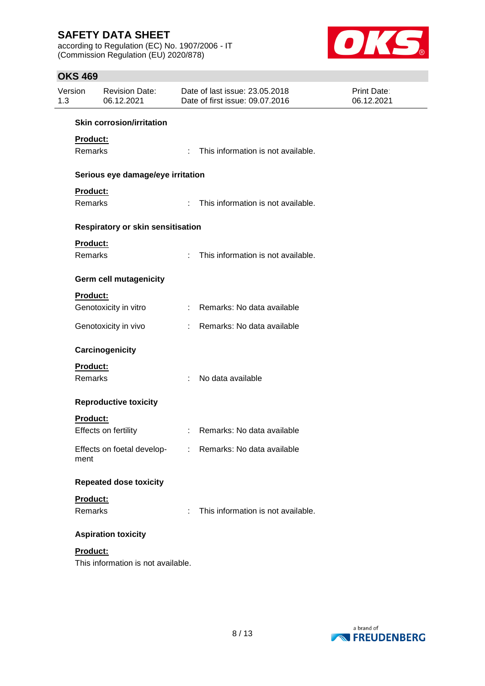according to Regulation (EC) No. 1907/2006 - IT (Commission Regulation (EU) 2020/878)



## **OKS 469**

| Version<br>1.3  | <b>Revision Date:</b><br>06.12.2021 | Date of last issue: 23.05.2018<br>Date of first issue: 09.07.2016 |                                                         | <b>Print Date:</b><br>06.12.2021 |
|-----------------|-------------------------------------|-------------------------------------------------------------------|---------------------------------------------------------|----------------------------------|
|                 | <b>Skin corrosion/irritation</b>    |                                                                   |                                                         |                                  |
| <b>Product:</b> |                                     |                                                                   |                                                         |                                  |
| Remarks         |                                     |                                                                   | : This information is not available.                    |                                  |
|                 | Serious eye damage/eye irritation   |                                                                   |                                                         |                                  |
| Product:        |                                     |                                                                   |                                                         |                                  |
| <b>Remarks</b>  |                                     |                                                                   | : This information is not available.                    |                                  |
|                 | Respiratory or skin sensitisation   |                                                                   |                                                         |                                  |
| Product:        |                                     |                                                                   |                                                         |                                  |
| Remarks         |                                     | ÷.                                                                | This information is not available.                      |                                  |
|                 | <b>Germ cell mutagenicity</b>       |                                                                   |                                                         |                                  |
| <b>Product:</b> |                                     |                                                                   |                                                         |                                  |
|                 | Genotoxicity in vitro               |                                                                   | : Remarks: No data available                            |                                  |
|                 | Genotoxicity in vivo                |                                                                   | : Remarks: No data available                            |                                  |
|                 | Carcinogenicity                     |                                                                   |                                                         |                                  |
| Product:        |                                     |                                                                   |                                                         |                                  |
| Remarks         |                                     | ÷.                                                                | No data available                                       |                                  |
|                 | <b>Reproductive toxicity</b>        |                                                                   |                                                         |                                  |
| <b>Product:</b> |                                     |                                                                   |                                                         |                                  |
|                 | Effects on fertility                |                                                                   | : Remarks: No data available                            |                                  |
| ment            |                                     |                                                                   | Effects on foetal develop- : Remarks: No data available |                                  |
|                 | <b>Repeated dose toxicity</b>       |                                                                   |                                                         |                                  |
| Product:        |                                     |                                                                   |                                                         |                                  |
| Remarks         |                                     | ÷.                                                                | This information is not available.                      |                                  |
|                 | <b>Aspiration toxicity</b>          |                                                                   |                                                         |                                  |
| Product:        |                                     |                                                                   |                                                         |                                  |
|                 | This information is not available.  |                                                                   |                                                         |                                  |

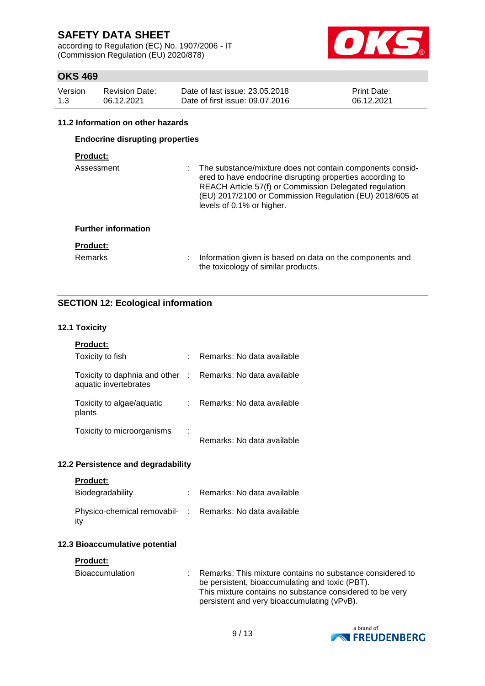according to Regulation (EC) No. 1907/2006 - IT (Commission Regulation (EU) 2020/878)



## **OKS 469**

| Version | <b>Revision Date:</b> | Date of last issue: 23,05,2018  | Print Date: |
|---------|-----------------------|---------------------------------|-------------|
| 1.3     | 06.12.2021            | Date of first issue: 09.07.2016 | 06.12.2021  |

#### **11.2 Information on other hazards**

## **Endocrine disrupting properties**

## **Product:**

| Assessment                 | : The substance/mixture does not contain components consid-<br>ered to have endocrine disrupting properties according to<br>REACH Article 57(f) or Commission Delegated regulation<br>(EU) 2017/2100 or Commission Regulation (EU) 2018/605 at<br>levels of 0.1% or higher. |
|----------------------------|-----------------------------------------------------------------------------------------------------------------------------------------------------------------------------------------------------------------------------------------------------------------------------|
| <b>Further information</b> |                                                                                                                                                                                                                                                                             |
| <b>Product:</b>            |                                                                                                                                                                                                                                                                             |
| <b>Remarks</b>             | Information given is based on data on the components and<br>the toxicology of similar products.                                                                                                                                                                             |

## **SECTION 12: Ecological information**

#### **12.1 Toxicity**

| <b>Product:</b>                                                                     |                            |
|-------------------------------------------------------------------------------------|----------------------------|
| Toxicity to fish                                                                    | Remarks: No data available |
| Toxicity to daphnia and other : Remarks: No data available<br>aquatic invertebrates |                            |
| Toxicity to algae/aquatic<br>plants                                                 | Remarks: No data available |
| Toxicity to microorganisms                                                          | Remarks: No data available |

## **12.2 Persistence and degradability**

| Product |  |  |
|---------|--|--|
|         |  |  |

| Biodegradability                                                | Remarks: No data available |
|-----------------------------------------------------------------|----------------------------|
| Physico-chemical removabil- : Remarks: No data available<br>itv |                            |

## **12.3 Bioaccumulative potential**

#### **Product:**

| Bioaccumulation | : Remarks: This mixture contains no substance considered to |
|-----------------|-------------------------------------------------------------|
|                 | be persistent, bioaccumulating and toxic (PBT).             |
|                 | This mixture contains no substance considered to be very    |
|                 | persistent and very bioaccumulating (vPvB).                 |

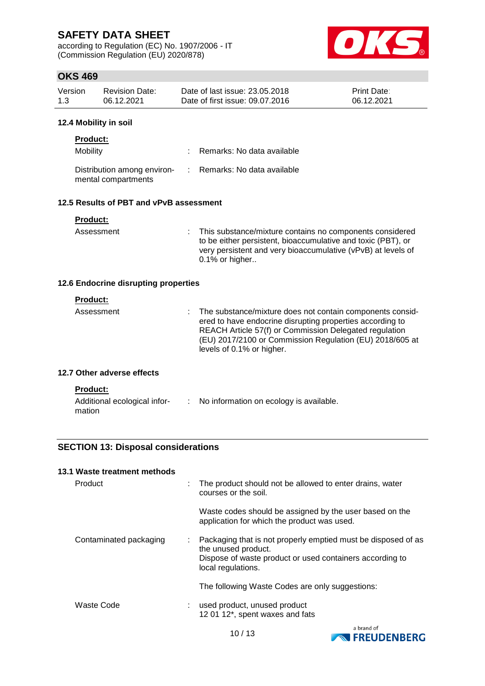according to Regulation (EC) No. 1907/2006 - IT (Commission Regulation (EU) 2020/878)



## **OKS 469**

| Version | Revision Date: | Date of last issue: 23.05.2018  | <b>Print Date:</b> |
|---------|----------------|---------------------------------|--------------------|
| 1.3     | 06.12.2021     | Date of first issue: 09.07.2016 | 06.12.2021         |

#### **12.4 Mobility in soil**

| <b>Product:</b>                                    |                              |
|----------------------------------------------------|------------------------------|
| Mobility                                           | : Remarks: No data available |
| Distribution among environ-<br>mental compartments | : Remarks: No data available |

## **12.5 Results of PBT and vPvB assessment**

|  | Product: |  |  |  |
|--|----------|--|--|--|
|  |          |  |  |  |

mation

Assessment : This substance/mixture contains no components considered to be either persistent, bioaccumulative and toxic (PBT), or very persistent and very bioaccumulative (vPvB) at levels of 0.1% or higher..

## **12.6 Endocrine disrupting properties**

| <b>Product:</b><br>Assessment                   | The substance/mixture does not contain components consid-<br>ered to have endocrine disrupting properties according to<br>REACH Article 57(f) or Commission Delegated regulation<br>(EU) 2017/2100 or Commission Regulation (EU) 2018/605 at<br>levels of 0.1% or higher. |
|-------------------------------------------------|---------------------------------------------------------------------------------------------------------------------------------------------------------------------------------------------------------------------------------------------------------------------------|
| 12.7 Other adverse effects                      |                                                                                                                                                                                                                                                                           |
| <b>Product:</b><br>Additional ecological infor- | No information on ecology is available.                                                                                                                                                                                                                                   |

## **SECTION 13: Disposal considerations**

| 13.1 Waste treatment methods |                                                                                                                                                                             |
|------------------------------|-----------------------------------------------------------------------------------------------------------------------------------------------------------------------------|
| Product                      | The product should not be allowed to enter drains, water<br>courses or the soil.                                                                                            |
|                              | Waste codes should be assigned by the user based on the<br>application for which the product was used.                                                                      |
| Contaminated packaging       | Packaging that is not properly emptied must be disposed of as<br>÷<br>the unused product.<br>Dispose of waste product or used containers according to<br>local regulations. |
|                              | The following Waste Codes are only suggestions:                                                                                                                             |
| Waste Code                   | used product, unused product<br>12 01 12*, spent waxes and fats                                                                                                             |



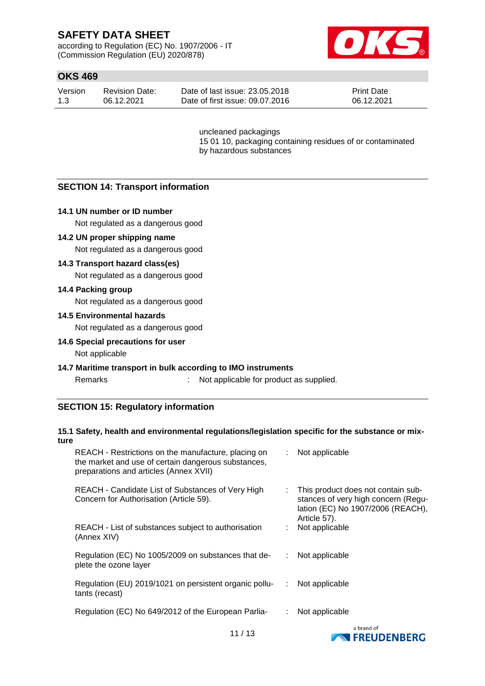according to Regulation (EC) No. 1907/2006 - IT (Commission Regulation (EU) 2020/878)



## **OKS 469**

| Version | <b>Revision Date:</b> | Date of last issue: 23.05.2018  | <b>Print Date:</b> |
|---------|-----------------------|---------------------------------|--------------------|
| 1.3     | 06.12.2021            | Date of first issue: 09.07.2016 | 06.12.2021         |

uncleaned packagings 15 01 10, packaging containing residues of or contaminated by hazardous substances

## **SECTION 14: Transport information**

## **14.1 UN number or ID number**

Not regulated as a dangerous good

#### **14.2 UN proper shipping name**

Not regulated as a dangerous good

## **14.3 Transport hazard class(es)**

Not regulated as a dangerous good

#### **14.4 Packing group**

Not regulated as a dangerous good

#### **14.5 Environmental hazards**

Not regulated as a dangerous good

#### **14.6 Special precautions for user**

Not applicable

#### **14.7 Maritime transport in bulk according to IMO instruments**

Remarks : Not applicable for product as supplied.

## **SECTION 15: Regulatory information**

## **15.1 Safety, health and environmental regulations/legislation specific for the substance or mixture**

| REACH - Restrictions on the manufacture, placing on<br>the market and use of certain dangerous substances,<br>preparations and articles (Annex XVII) | : Not applicable                                                                                                                 |
|------------------------------------------------------------------------------------------------------------------------------------------------------|----------------------------------------------------------------------------------------------------------------------------------|
| REACH - Candidate List of Substances of Very High<br>Concern for Authorisation (Article 59).                                                         | : This product does not contain sub-<br>stances of very high concern (Regu-<br>lation (EC) No 1907/2006 (REACH),<br>Article 57). |
| REACH - List of substances subject to authorisation<br>(Annex XIV)                                                                                   | Not applicable                                                                                                                   |
| Regulation (EC) No 1005/2009 on substances that de-<br>plete the ozone layer                                                                         | Not applicable                                                                                                                   |
| Regulation (EU) 2019/1021 on persistent organic pollu-<br>tants (recast)                                                                             | Not applicable<br>÷                                                                                                              |
| Regulation (EC) No 649/2012 of the European Parlia-                                                                                                  | Not applicable                                                                                                                   |
|                                                                                                                                                      | a brand of                                                                                                                       |

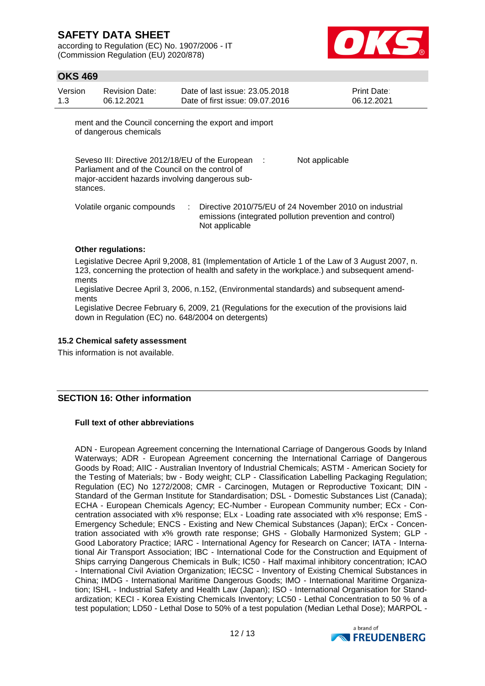according to Regulation (EC) No. 1907/2006 - IT (Commission Regulation (EU) 2020/878)



## **OKS 469**

| Version | Revision Date: | Date of last issue: 23,05,2018  | <b>Print Date:</b> |
|---------|----------------|---------------------------------|--------------------|
| 1.3     | 06.12.2021     | Date of first issue: 09.07.2016 | 06.12.2021         |

ment and the Council concerning the export and import of dangerous chemicals

Seveso III: Directive 2012/18/EU of the European : Parliament and of the Council on the control of major-accident hazards involving dangerous substances. Not applicable

Volatile organic compounds : Directive 2010/75/EU of 24 November 2010 on industrial emissions (integrated pollution prevention and control) Not applicable

## **Other regulations:**

Legislative Decree April 9,2008, 81 (Implementation of Article 1 of the Law of 3 August 2007, n. 123, concerning the protection of health and safety in the workplace.) and subsequent amendments

Legislative Decree April 3, 2006, n.152, (Environmental standards) and subsequent amendments

Legislative Decree February 6, 2009, 21 (Regulations for the execution of the provisions laid down in Regulation (EC) no. 648/2004 on detergents)

#### **15.2 Chemical safety assessment**

This information is not available.

## **SECTION 16: Other information**

## **Full text of other abbreviations**

ADN - European Agreement concerning the International Carriage of Dangerous Goods by Inland Waterways; ADR - European Agreement concerning the International Carriage of Dangerous Goods by Road; AIIC - Australian Inventory of Industrial Chemicals; ASTM - American Society for the Testing of Materials; bw - Body weight; CLP - Classification Labelling Packaging Regulation; Regulation (EC) No 1272/2008; CMR - Carcinogen, Mutagen or Reproductive Toxicant; DIN - Standard of the German Institute for Standardisation; DSL - Domestic Substances List (Canada); ECHA - European Chemicals Agency; EC-Number - European Community number; ECx - Concentration associated with x% response; ELx - Loading rate associated with x% response; EmS - Emergency Schedule; ENCS - Existing and New Chemical Substances (Japan); ErCx - Concentration associated with x% growth rate response; GHS - Globally Harmonized System; GLP - Good Laboratory Practice; IARC - International Agency for Research on Cancer; IATA - International Air Transport Association; IBC - International Code for the Construction and Equipment of Ships carrying Dangerous Chemicals in Bulk; IC50 - Half maximal inhibitory concentration; ICAO - International Civil Aviation Organization; IECSC - Inventory of Existing Chemical Substances in China; IMDG - International Maritime Dangerous Goods; IMO - International Maritime Organization; ISHL - Industrial Safety and Health Law (Japan); ISO - International Organisation for Standardization; KECI - Korea Existing Chemicals Inventory; LC50 - Lethal Concentration to 50 % of a test population; LD50 - Lethal Dose to 50% of a test population (Median Lethal Dose); MARPOL -